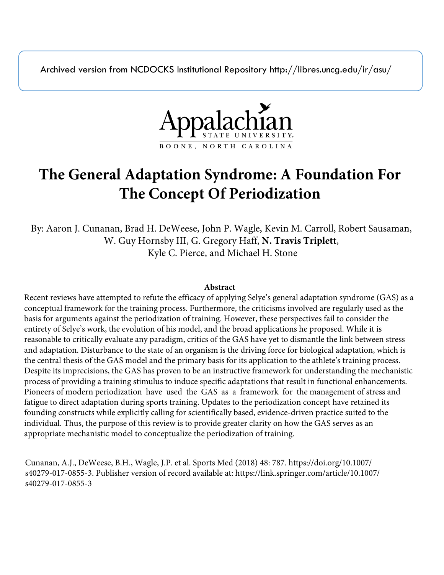Archived version from NCDOCKS Institutional Repository http://libres.uncg.edu/ir/asu/



# **The General Adaptation Syndrome: A Foundation For The Concept Of Periodization**

By: Aaron J. Cunanan, Brad H. DeWeese, John P. Wagle, Kevin M. Carroll, Robert Sausaman, W. Guy Hornsby III, G. Gregory Haff, **N. Travis Triplett**, Kyle C. Pierce, and Michael H. Stone

## **Abstract**

Recent reviews have attempted to refute the efficacy of applying Selye's general adaptation syndrome (GAS) as a conceptual framework for the training process. Furthermore, the criticisms involved are regularly used as the basis for arguments against the periodization of training. However, these perspectives fail to consider the entirety of Selye's work, the evolution of his model, and the broad applications he proposed. While it is reasonable to critically evaluate any paradigm, critics of the GAS have yet to dismantle the link between stress and adaptation. Disturbance to the state of an organism is the driving force for biological adaptation, which is the central thesis of the GAS model and the primary basis for its application to the athlete's training process. Despite its imprecisions, the GAS has proven to be an instructive framework for understanding the mechanistic process of providing a training stimulus to induce specific adaptations that result in functional enhancements. Pioneers of modern periodization have used the GAS as a framework for the management of stress and fatigue to direct adaptation during sports training. Updates to the periodization concept have retained its founding constructs while explicitly calling for scientifically based, evidence-driven practice suited to the individual. Thus, the purpose of this review is to provide greater clarity on how the GAS serves as an appropriate mechanistic model to conceptualize the periodization of training.

Cunanan, A.J., DeWeese, B.H., Wagle, J.P. et al. Sports Med (2018) 48: 787. https://doi.org/10.1007/ s40279-017-0855-3. Publisher version of record available at: https://link.springer.com/article/10.1007/ s40279-017-0855-3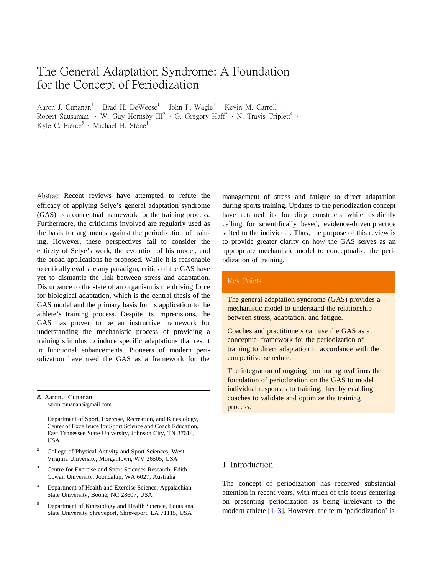## The General Adaptation Syndrome: A Foundation for the Concept of Periodization

Aaron J. Cunanan<sup>1</sup> · Brad H. DeWeese<sup>1</sup> · John P. Wagle<sup>1</sup> · Kevin M. Carroll<sup>1</sup> · Robert Sausaman<sup>1</sup> • W. Guy Hornsby  $III^2$  • G. Gregory Haff<sup>3</sup> • N. Travis Triplett<sup>4</sup> • Kyle C. Pierce<sup>5</sup>  $\cdot$  Michael H. Stone<sup>1</sup>

Abstract Recent reviews have attempted to refute the efficacy of applying Selye's general adaptation syndrome (GAS) as a conceptual framework for the training process. Furthermore, the criticisms involved are regularly used as the basis for arguments against the periodization of training. However, these perspectives fail to consider the entirety of Selye's work, the evolution of his model, and the broad applications he proposed. While it is reasonable to critically evaluate any paradigm, critics of the GAS have yet to dismantle the link between stress and adaptation. Disturbance to the state of an organism is the driving force for biological adaptation, which is the central thesis of the GAS model and the primary basis for its application to the athlete's training process. Despite its imprecisions, the GAS has proven to be an instructive framework for understanding the mechanistic process of providing a training stimulus to induce specific adaptations that result in functional enhancements. Pioneers of modern periodization have used the GAS as a framework for the

& Aaron J. Cunana[n](mailto:aaron.cunanan@gmail.com) [aaron.cunanan@gmail.com](mailto:aaron.cunanan@gmail.com)

- <sup>1</sup> Department of Sport, Exercise, Recreation, and Kinesiology, Center of Excellence for Sport Science and Coach Education, East Tennessee State University, Johnson City, TN 37614, USA
- <span id="page-1-0"></span><sup>2</sup> College of Physical Activity and Sport Sciences, West Virginia University, Morgantown, WV 26505, USA
- <sup>3</sup> Centre for Exercise and Sport Sciences Research, Edith Cowan University, Joondalup, WA 6027, Australia
- Department of Health and Exercise Science, Appalachian State University, Boone, NC 28607, USA
- <sup>5</sup> Department of Kinesiology and Health Science, Louisiana State University Shreveport, Shreveport, LA 71115, USA

management of stress and fatigue to direct adaptation during sports training. Updates to the periodization concept have retained its founding constructs while explicitly calling for scientifically based, evidence-driven practice suited to the individual. Thus, the purpose of this review is to provide greater clarity on how the GAS serves as an appropriate mechanistic model to conceptualize the periodization of training.

## Key Points

The general adaptation syndrome (GAS) provides a mechanistic model to understand the relationship between stress, adaptation, and fatigue.

Coaches and practitioners can use the GAS as a conceptual framework for the periodization of training to direct adaptation in accordance with the competitive schedule.

The integration of ongoing monitoring reaffirms the foundation of periodization on the GAS to model individual responses to training, thereby enabling coaches to validate and optimize the training process.

## 1 Introduction

The concept of periodization has received substantial attention in recent years, with much of this focus centering on presenting periodization as being irrelevant to the modern athlete  $[1-3]$  $[1-3]$ . However, the term 'periodization' is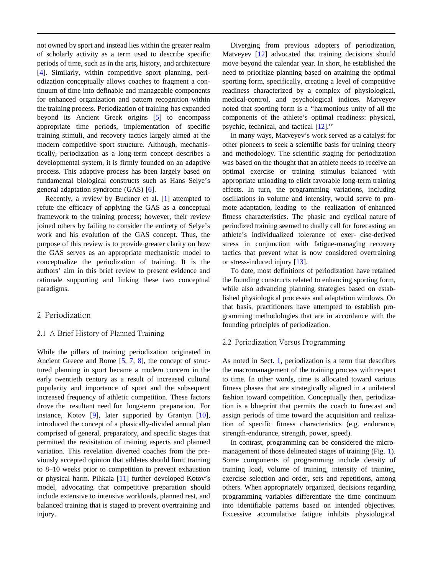not owned by sport and instead lies within the greater realm of scholarly activity as a term used to describe specific periods of time, such as in the arts, history, and architecture [\[4\]](#page-8-2). Similarly, within competitive sport planning, periodization conceptually allows coaches to fragment a continuum of time into definable and manageable components for enhanced organization and pattern recognition within the training process. Periodization of training has expanded beyond its Ancient Greek origins [\[5\]](#page-8-2) to encompass appropriate time periods, implementation of specific training stimuli, and recovery tactics largely aimed at the modern competitive sport structure. Although, mechanistically, periodization as a long-term concept describes a developmental system, it is firmly founded on an adaptive process. This adaptive process has been largely based on fundamental biological constructs such as Hans Selye's general adaptation syndrome (GAS) [\[6\]](#page-8-3).

Recently, a review by Buckner et al. [\[1\]](#page-8-0) attempted to refute the efficacy of applying the GAS as a conceptual framework to the training process; however, their review joined others by failing to consider the entirety of Selye's work and his evolution of the GAS concept. Thus, the purpose of this review is to provide greater clarity on how the GAS serves as an appropriate mechanistic model to conceptualize the periodization of training. It is the authors' aim in this brief review to present evidence and rationale supporting and linking these two conceptual paradigms.

## 2 Periodization

### <span id="page-2-0"></span>2.1 A Brief History of Planned Training

While the pillars of training periodization originated in Ancient Greece and Rome [\[5,](#page-8-2) [7,](#page-8-4) [8\]](#page-8-5), the concept of structured planning in sport became a modern concern in the early twentieth century as a result of increased cultural popularity and importance of sport and the subsequent increased frequency of athletic competition. These factors drove the resultant need for long-term preparation. For instance, Kotov [\[9\]](#page-8-6), later supported by Grantyn [\[10\]](#page-8-7), introduced the concept of a phasically-divided annual plan comprised of general, preparatory, and specific stages that permitted the revisitation of training aspects and planned variation. This revelation diverted coaches from the previously accepted opinion that athletes should limit training to 8–10 weeks prior to competition to prevent exhaustion or physical harm. Pihkala [\[11\]](#page-8-8) further developed Kotov's model, advocating that competitive preparation should include extensive to intensive workloads, planned rest, and balanced training that is staged to prevent overtraining and injury.

Diverging from previous adopters of periodization, Matveyev [\[12\]](#page-8-9) advocated that training decisions should move beyond the calendar year. In short, he established the need to prioritize planning based on attaining the optimal sporting form, specifically, creating a level of competitive readiness characterized by a complex of physiological, medical-control, and psychological indices. Matveyev noted that sporting form is a ''harmonious unity of all the components of the athlete's optimal readiness: physical, psychic, technical, and tactical [\[12\]](#page-8-9).''

In many ways, Matveyev's work served as a catalyst for other pioneers to seek a scientific basis for training theory and methodology. The scientific staging for periodization was based on the thought that an athlete needs to receive an optimal exercise or training stimulus balanced with appropriate unloading to elicit favorable long-term training effects. In turn, the programming variations, including oscillations in volume and intensity, would serve to promote adaptation, leading to the realization of enhanced fitness characteristics. The phasic and cyclical nature of periodized training seemed to dually call for forecasting an athlete's individualized tolerance of exer- cise-derived stress in conjunction with fatigue-managing recovery tactics that prevent what is now considered overtraining or stress-induced injury [\[13\]](#page-8-10).

To date, most definitions of periodization have retained the founding constructs related to enhancing sporting form, while also advancing planning strategies based on established physiological processes and adaptation windows. On that basis, practitioners have attempted to establish programming methodologies that are in accordance with the founding principles of periodization.

#### 2.2 Periodization Versus Programming

As noted in Sect. [1,](#page-1-0) periodization is a term that describes the macromanagement of the training process with respect to time. In other words, time is allocated toward various fitness phases that are strategically aligned in a unilateral fashion toward competition. Conceptually then, periodization is a blueprint that permits the coach to forecast and assign periods of time toward the acquisition and realization of specific fitness characteristics (e.g. endurance, strength-endurance, strength, power, speed).

In contrast, programming can be considered the micromanagement of those delineated stages of training (Fig. [1\)](#page-3-0). Some components of programming include density of training load, volume of training, intensity of training, exercise selection and order, sets and repetitions, among others. When appropriately organized, decisions regarding programming variables differentiate the time continuum into identifiable patterns based on intended objectives. Excessive accumulative fatigue inhibits physiological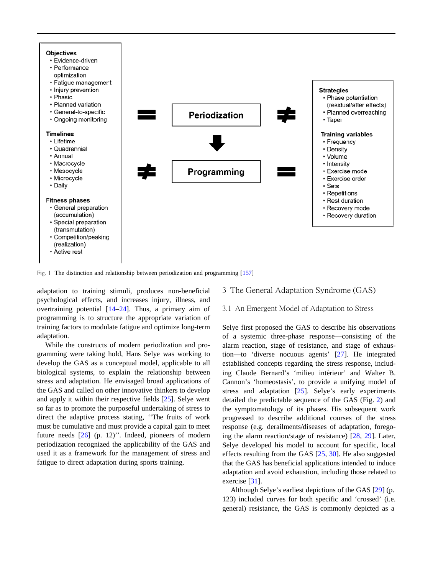

<span id="page-3-0"></span>Fig. 1 The distinction and relationship between periodization and programming [\[157\]](#page-11-0)

adaptation to training stimuli, produces non-beneficial psychological effects, and increases injury, illness, and overtraining potential [\[14](#page-8-11)[–24\]](#page-8-12). Thus, a primary aim of programming is to structure the appropriate variation of training factors to modulate fatigue and optimize long-term adaptation.

While the constructs of modern periodization and programming were taking hold, Hans Selye was working to develop the GAS as a conceptual model, applicable to all biological systems, to explain the relationship between stress and adaptation. He envisaged broad applications of the GAS and called on other innovative thinkers to develop and apply it within their respective fields [\[25\]](#page-8-0). Selye went so far as to promote the purposeful undertaking of stress to direct the adaptive process stating, ''The fruits of work must be cumulative and must provide a capital gain to meet future needs [\[26\]](#page-8-13) (p. 12)''. Indeed, pioneers of modern periodization recognized the applicability of the GAS and used it as a framework for the management of stress and fatigue to direct adaptation during sports training.

## 3 The General Adaptation Syndrome (GAS)

## 3.1 An Emergent Model of Adaptation to Stress

Selye first proposed the GAS to describe his observations of a systemic three-phase response—consisting of the alarm reaction, stage of resistance, and stage of exhaustion—to 'diverse nocuous agents' [\[27\]](#page-8-14). He integrated established concepts regarding the stress response, including Claude Bernard's 'milieu intérieur' and Walter B. Cannon's 'homeostasis', to provide a unifying model of stress and adaptation [\[25\]](#page-8-0). Selye's early experiments detailed the predictable sequence of the GAS (Fig. [2\)](#page-4-0) and the symptomatology of its phases. His subsequent work progressed to describe additional courses of the stress response (e.g. derailments/diseases of adaptation, foregoing the alarm reaction/stage of resistance) [\[28,](#page-8-15) [29\]](#page-8-1). Later, Selye developed his model to account for specific, local effects resulting from the GAS [\[25,](#page-8-0) [30\]](#page-8-16). He also suggested that the GAS has beneficial applications intended to induce adaptation and avoid exhaustion, including those related to exercise [\[31\]](#page-9-0).

Although Selye's earliest depictions of the GAS [\[29\]](#page-8-1) (p. 123) included curves for both specific and 'crossed' (i.e. general) resistance, the GAS is commonly depicted as a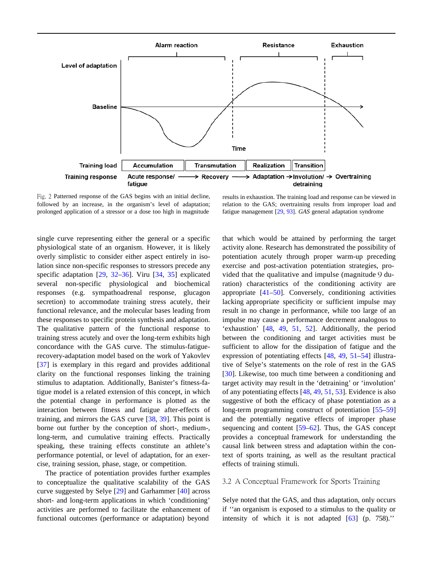

<span id="page-4-0"></span>Fig. 2 Patterned response of the GAS begins with an initial decline, followed by an increase, in the organism's level of adaptation; prolonged application of a stressor or a dose too high in magnitude

results in exhaustion. The training load and response can be viewed in relation to the GAS; overtraining results from improper load and fatigue management [\[29,](#page-8-1) [93\]](#page-10-0). *GAS* general adaptation syndrome

single curve representing either the general or a specific physiological state of an organism. However, it is likely overly simplistic to consider either aspect entirely in isolation since non-specific responses to stressors precede any specific adaptation [\[29,](#page-8-1) [32](#page-9-1)[–36\]](#page-9-2). Viru [\[34,](#page-9-3) [35\]](#page-9-4) explicated several non-specific physiological and biochemical responses (e.g. sympathoadrenal response, glucagon secretion) to accommodate training stress acutely, their functional relevance, and the molecular bases leading from these responses to specific protein synthesis and adaptation. The qualitative pattern of the functional response to training stress acutely and over the long-term exhibits high concordance with the GAS curve. The stimulus-fatiguerecovery-adaptation model based on the work of Yakovlev [\[37\]](#page-9-5) is exemplary in this regard and provides additional clarity on the functional responses linking the training stimulus to adaptation. Additionally, Banister's fitness-fatigue model is a related extension of this concept, in which the potential change in performance is plotted as the interaction between fitness and fatigue after-effects of training, and mirrors the GAS curve [\[38,](#page-9-6) [39\]](#page-9-7). This point is borne out further by the conception of short-, medium-, long-term, and cumulative training effects. Practically speaking, these training effects constitute an athlete's performance potential, or level of adaptation, for an exercise, training session, phase, stage, or competition.

The practice of potentiation provides further examples to conceptualize the qualitative scalability of the GAS curve suggested by Selye [\[29\]](#page-8-1) and Garhammer [\[40\]](#page-9-8) across short- and long-term applications in which 'conditioning' activities are performed to facilitate the enhancement of functional outcomes (performance or adaptation) beyond

that which would be attained by performing the target activity alone. Research has demonstrated the possibility of potentiation acutely through proper warm-up preceding exercise and post-activation potentiation strategies, provided that the qualitative and impulse (magnitude 9 duration) characteristics of the conditioning activity are appropriate [\[41](#page-9-9)[–50\]](#page-9-10). Conversely, conditioning activities lacking appropriate specificity or sufficient impulse may result in no change in performance, while too large of an impulse may cause a performance decrement analogous to 'exhaustion' [\[48,](#page-9-11) [49,](#page-9-12) [51,](#page-9-13) [52\]](#page-9-14). Additionally, the period between the conditioning and target activities must be sufficient to allow for the dissipation of fatigue and the expression of potentiating effects [\[48,](#page-9-11) [49,](#page-9-12) [51](#page-9-13)[–54\]](#page-9-15) illustrative of Selye's statements on the role of rest in the GAS [\[30\]](#page-8-16). Likewise, too much time between a conditioning and target activity may result in the 'detraining' or 'involution' of any potentiating effects [\[48,](#page-9-11) [49,](#page-9-12) [51,](#page-9-13) [53\]](#page-9-16). Evidence is also suggestive of both the efficacy of phase potentiation as a long-term programming construct of potentiation [\[55–](#page-9-0)[59\]](#page-9-7) and the potentially negative effects of improper phase sequencing and content [\[59](#page-9-7)[–62\]](#page-9-17). Thus, the GAS concept provides a conceptual framework for understanding the causal link between stress and adaptation within the context of sports training, as well as the resultant practical effects of training stimuli.

#### 3.2 A Conceptual Framework for Sports Training

Selye noted that the GAS, and thus adaptation, only occurs if ''an organism is exposed to a stimulus to the quality or intensity of which it is not adapted [\[63\]](#page-9-18) (p. 758).''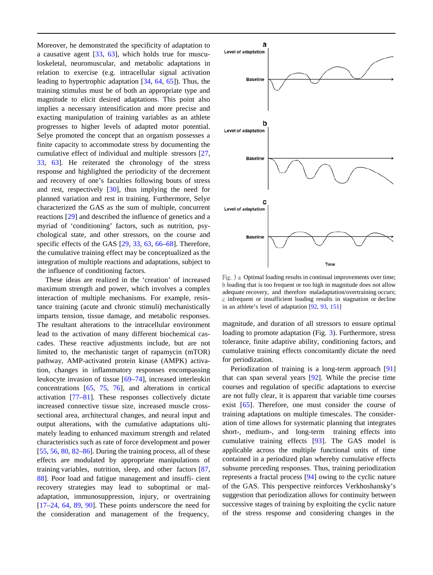Moreover, he demonstrated the specificity of adaptation to a causative agent [\[33,](#page-9-19) [63\]](#page-9-18), which holds true for musculoskeletal, neuromuscular, and metabolic adaptations in relation to exercise (e.g. intracellular signal activation leading to hypertrophic adaptation [\[34,](#page-9-3) [64,](#page-9-20) [65\]](#page-9-21)). Thus, the training stimulus must be of both an appropriate type and magnitude to elicit desired adaptations. This point also implies a necessary intensification and more precise and exacting manipulation of training variables as an athlete progresses to higher levels of adapted motor potential. Selye promoted the concept that an organism possesses a finite capacity to accommodate stress by documenting the cumulative effect of individual and multiple stressors [\[27,](#page-8-14) [33,](#page-9-19) [63\]](#page-9-18). He reiterated the chronology of the stress response and highlighted the periodicity of the decrement and recovery of one's faculties following bouts of stress and rest, respectively [\[30\]](#page-8-16), thus implying the need for planned variation and rest in training. Furthermore, Selye characterized the GAS as the sum of multiple, concurrent reactions [\[29\]](#page-8-1) and described the influence of genetics and a myriad of 'conditioning' factors, such as nutrition, psychological state, and other stressors, on the course and specific effects of the GAS [\[29,](#page-8-1) [33,](#page-9-19) [63,](#page-9-18) [66](#page-9-22)[–68\]](#page-9-23). Therefore, the cumulative training effect may be conceptualized as the integration of multiple reactions and adaptations, subject to the influence of conditioning factors.

<span id="page-5-0"></span>These ideas are realized in the 'creation' of increased maximum strength and power, which involves a complex interaction of multiple mechanisms. For example, resistance training (acute and chronic stimuli) mechanistically imparts tension, tissue damage, and metabolic responses. The resultant alterations to the intracellular environment lead to the activation of many different biochemical cascades. These reactive adjustments include, but are not limited to, the mechanistic target of rapamycin (mTOR) pathway, AMP-activated protein kinase (AMPK) activation, changes in inflammatory responses encompassing leukocyte invasion of tissue [\[69–](#page-9-24)[74\]](#page-9-25), increased interleukin concentrations [\[65,](#page-9-21) [75,](#page-10-1) [76\]](#page-10-2), and alterations in cortical activation [\[77–](#page-10-3)[81\]](#page-10-4). These responses collectively dictate increased connective tissue size, increased muscle crosssectional area, architectural changes, and neural input and output alterations, with the cumulative adaptations ultimately leading to enhanced maximum strength and related characteristics such as rate of force development and power [\[55,](#page-9-0) [56,](#page-9-1) [80,](#page-10-5) [82–](#page-10-6)[86\]](#page-10-7). During the training process, all of these effects are modulated by appropriate manipulations of training variables, nutrition, sleep, and other factors [\[87,](#page-10-8) [88\]](#page-10-9). Poor load and fatigue management and insuffi- cient recovery strategies may lead to suboptimal or maladaptation, immunosuppression, injury, or overtraining [\[17–](#page-8-17)[24,](#page-8-12) [64,](#page-9-20) [89,](#page-10-10) [90\]](#page-10-11). These points underscore the need for the consideration and management of the frequency,



Fig. 3 a Optimal loading results in continual improvements over time; b loading that is too frequent or too high in magnitude does not allow adequate recovery, and therefore maladaptation/overtraining occurs; c infrequent or insufficient loading results in stagnation or decline in an athlete's level of adaptation [\[92,](#page-10-12) [93,](#page-10-0) [151\]](#page-11-1)

magnitude, and duration of all stressors to ensure optimal loading to promote adaptation (Fig. [3\)](#page-5-0). Furthermore, stress tolerance, finite adaptive ability, conditioning factors, and cumulative training effects concomitantly dictate the need for periodization.

Periodization of training is a long-term approach [\[91\]](#page-10-13) that can span several years [\[92\]](#page-10-12). While the precise time courses and regulation of specific adaptations to exercise are not fully clear, it is apparent that variable time courses exist [\[65\]](#page-9-21). Therefore, one must consider the course of training adaptations on multiple timescales. The consideration of time allows for systematic planning that integrates short-, medium-, and long-term training effects into cumulative training effects [\[93\]](#page-10-0). The GAS model is applicable across the multiple functional units of time contained in a periodized plan whereby cumulative effects subsume preceding responses. Thus, training periodization represents a fractal process [\[94\]](#page-10-14) owing to the cyclic nature of the GAS. This perspective reinforces Verkhoshansky's suggestion that periodization allows for continuity between successive stages of training by exploiting the cyclic nature of the stress response and considering changes in the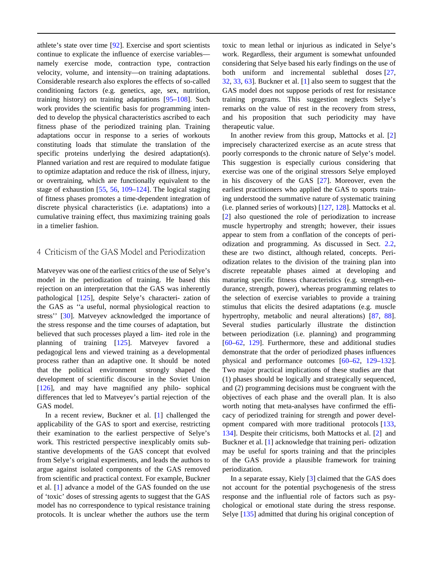athlete's state over time [\[92\]](#page-10-12). Exercise and sport scientists continue to explicate the influence of exercise variables namely exercise mode, contraction type, contraction velocity, volume, and intensity—on training adaptations. Considerable research also explores the effects of so-called conditioning factors (e.g. genetics, age, sex, nutrition, training history) on training adaptations [\[95–](#page-10-1)[108\]](#page-10-15). Such work provides the scientific basis for programming intended to develop the physical characteristics ascribed to each fitness phase of the periodized training plan. Training adaptations occur in response to a series of workouts constituting loads that stimulate the translation of the specific proteins underlying the desired adaptation(s). Planned variation and rest are required to modulate fatigue to optimize adaptation and reduce the risk of illness, injury, or overtraining, which are functionally equivalent to the stage of exhaustion [\[55,](#page-9-0) [56,](#page-9-1) [109](#page-10-10)[–124\]](#page-11-2). The logical staging of fitness phases promotes a time-dependent integration of discrete physical characteristics (i.e. adaptations) into a cumulative training effect, thus maximizing training goals in a timelier fashion.

## 4 Criticism of the GAS Model and Periodization

Matveyev was one of the earliest critics of the use of Selye's model in the periodization of training. He based this rejection on an interpretation that the GAS was inherently pathological [\[125\]](#page-11-3), despite Selye's characteri- zation of the GAS as ''a useful, normal physiological reaction to stress'' [\[30\]](#page-8-16). Matveyev acknowledged the importance of the stress response and the time courses of adaptation, but believed that such processes played a lim- ited role in the planning of training [\[125\]](#page-11-3). Matveyev favored a pedagogical lens and viewed training as a developmental process rather than an adaptive one. It should be noted that the political environment strongly shaped the development of scientific discourse in the Soviet Union [\[126\]](#page-11-4), and may have magnified any philo- sophical differences that led to Matveyev's partial rejection of the GAS model.

In a recent review, Buckner et al. [\[1\]](#page-8-0) challenged the applicability of the GAS to sport and exercise, restricting their examination to the earliest perspective of Selye's work. This restricted perspective inexplicably omits substantive developments of the GAS concept that evolved from Selye's original experiments, and leads the authors to argue against isolated components of the GAS removed from scientific and practical context. For example, Buckner et al. [\[1\]](#page-8-0) advance a model of the GAS founded on the use of 'toxic' doses of stressing agents to suggest that the GAS model has no correspondence to typical resistance training protocols. It is unclear whether the authors use the term

toxic to mean lethal or injurious as indicated in Selye's work. Regardless, their argument is somewhat unfounded considering that Selye based his early findings on the use of both uniform and incremental sublethal doses [\[27,](#page-8-14) [32,](#page-9-1) [33,](#page-9-19) [63\]](#page-9-18). Buckner et al. [\[1\]](#page-8-0) also seem to suggest that the GAS model does not suppose periods of rest for resistance training programs. This suggestion neglects Selye's remarks on the value of rest in the recovery from stress, and his proposition that such periodicity may have therapeutic value.

In another review from this group, Mattocks et al. [\[2\]](#page-8-18) imprecisely characterized exercise as an acute stress that poorly corresponds to the chronic nature of Selye's model. This suggestion is especially curious considering that exercise was one of the original stressors Selye employed in his discovery of the GAS [\[27\]](#page-8-14). Moreover, even the earliest practitioners who applied the GAS to sports training understood the summative nature of systematic training (i.e. planned series of workouts) [\[127,](#page-11-5) [128\]](#page-11-6). Mattocks et al. [\[2\]](#page-8-18) also questioned the role of periodization to increase muscle hypertrophy and strength; however, their issues appear to stem from a conflation of the concepts of periodization and programming. As discussed in Sect. [2.2,](#page-2-0) these are two distinct, although related, concepts. Periodization relates to the division of the training plan into discrete repeatable phases aimed at developing and maturing specific fitness characteristics (e.g. strength-endurance, strength, power), whereas programming relates to the selection of exercise variables to provide a training stimulus that elicits the desired adaptations (e.g. muscle hypertrophy, metabolic and neural alterations) [\[87,](#page-10-8) [88\]](#page-10-9). Several studies particularly illustrate the distinction between periodization (i.e. planning) and programming [\[60](#page-9-9)[–62,](#page-9-17) [129\]](#page-11-7). Furthermore, these and additional studies demonstrate that the order of periodized phases influences physical and performance outcomes [\[60–](#page-9-9)[62,](#page-9-17) [129–](#page-11-7)[132\]](#page-11-8). Two major practical implications of these studies are that (1) phases should be logically and strategically sequenced, and (2) programming decisions must be congruent with the objectives of each phase and the overall plan. It is also worth noting that meta-analyses have confirmed the efficacy of periodized training for strength and power development compared with more traditional protocols [\[133,](#page-11-9) [134\]](#page-11-10). Despite their criticisms, both Mattocks et al. [\[2\]](#page-8-18) and Buckner et al. [\[1\]](#page-8-0) acknowledge that training peri- odization may be useful for sports training and that the principles of the GAS provide a plausible framework for training periodization.

In a separate essay, Kiely [\[3\]](#page-8-1) claimed that the GAS does not account for the potential psychogenesis of the stress response and the influential role of factors such as psychological or emotional state during the stress response. Selye [\[135\]](#page-11-11) admitted that during his original conception of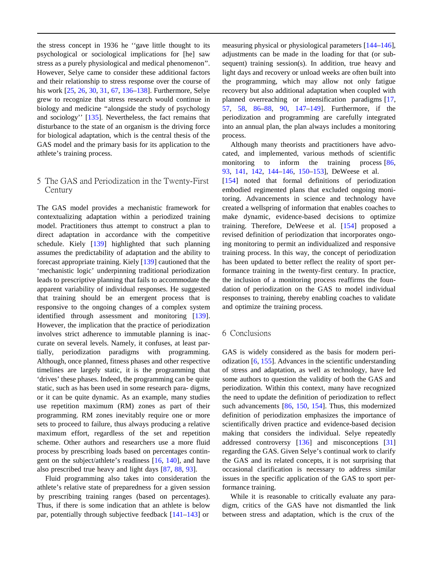the stress concept in 1936 he ''gave little thought to its psychological or sociological implications for [he] saw stress as a purely physiological and medical phenomenon''. However, Selye came to consider these additional factors and their relationship to stress response over the course of his work [\[25,](#page-8-0) [26,](#page-8-13) [30,](#page-8-16) [31,](#page-9-0) [67,](#page-9-26) [136](#page-11-12)[–138\]](#page-11-13). Furthermore, Selye grew to recognize that stress research would continue in biology and medicine ''alongside the study of psychology and sociology'' [\[135\]](#page-11-11). Nevertheless, the fact remains that disturbance to the state of an organism is the driving force for biological adaptation, which is the central thesis of the GAS model and the primary basis for its application to the athlete's training process.

## 5 The GAS and Periodization in the Twenty-First Century

The GAS model provides a mechanistic framework for contextualizing adaptation within a periodized training model. Practitioners thus attempt to construct a plan to direct adaptation in accordance with the competitive schedule. Kiely [\[139\]](#page-11-14) highlighted that such planning assumes the predictability of adaptation and the ability to forecast appropriate training. Kiely [\[139\]](#page-11-14) cautioned that the 'mechanistic logic' underpinning traditional periodization leads to prescriptive planning that fails to accommodate the apparent variability of individual responses. He suggested that training should be an emergent process that is responsive to the ongoing changes of a complex system identified through assessment and monitoring [\[139\]](#page-11-14). However, the implication that the practice of periodization involves strict adherence to immutable planning is inaccurate on several levels. Namely, it confuses, at least partially, periodization paradigms with programming. Although, once planned, fitness phases and other respective timelines are largely static, it is the programming that 'drives' these phases. Indeed, the programming can be quite static, such as has been used in some research para- digms, or it can be quite dynamic. As an example, many studies use repetition maximum (RM) zones as part of their programming. RM zones inevitably require one or more sets to proceed to failure, thus always producing a relative maximum effort, regardless of the set and repetition scheme. Other authors and researchers use a more fluid process by prescribing loads based on percentages contingent on the subject/athlete's readiness [\[16,](#page-8-19) [140\]](#page-11-15), and have also prescribed true heavy and light days [\[87,](#page-10-8) [88,](#page-10-9) [93\]](#page-10-0).

Fluid programming also takes into consideration the athlete's relative state of preparedness for a given session by prescribing training ranges (based on percentages). Thus, if there is some indication that an athlete is below par, potentially through subjective feedback [\[141](#page-11-16)[–143\]](#page-11-17) or

measuring physical or physiological parameters [\[144–](#page-11-18)[146\]](#page-11-19), adjustments can be made in the loading for that (or subsequent) training session(s). In addition, true heavy and light days and recovery or unload weeks are often built into the programming, which may allow not only fatigue recovery but also additional adaptation when coupled with planned overreaching or intensification paradigms [\[17,](#page-8-17) [57,](#page-9-27) [58,](#page-9-5) [86](#page-10-7)[–88,](#page-10-9) [90,](#page-10-11) [147–](#page-11-3)[149\]](#page-11-20). Furthermore, if the periodization and programming are carefully integrated into an annual plan, the plan always includes a monitoring process.

Although many theorists and practitioners have advocated, and implemented, various methods of scientific monitoring to inform the training process [\[86,](#page-10-7) [93,](#page-10-0) [141,](#page-11-16) [142,](#page-11-21) [144–](#page-11-18)[146,](#page-11-19) [150–](#page-11-22)[153\]](#page-11-23), DeWeese et al. [\[154\]](#page-11-8) noted that formal definitions of periodization embodied regimented plans that excluded ongoing monitoring. Advancements in science and technology have created a wellspring of information that enables coaches to make dynamic, evidence-based decisions to optimize training. Therefore, DeWeese et al. [\[154\]](#page-11-8) proposed a revised definition of periodization that incorporates ongoing monitoring to permit an individualized and responsive training process. In this way, the concept of periodization has been updated to better reflect the reality of sport performance training in the twenty-first century. In practice, the inclusion of a monitoring process reaffirms the foundation of periodization on the GAS to model individual responses to training, thereby enabling coaches to validate and optimize the training process.

### 6 Conclusions

GAS is widely considered as the basis for modern periodization [\[6,](#page-8-3) [155\]](#page-11-24). Advances in the scientific understanding of stress and adaptation, as well as technology, have led some authors to question the validity of both the GAS and periodization. Within this context, many have recognized the need to update the definition of periodization to reflect such advancements [\[86,](#page-10-7) [150,](#page-11-22) [154\]](#page-11-8). Thus, this modernized definition of periodization emphasizes the importance of scientifically driven practice and evidence-based decision making that considers the individual. Selye repeatedly addressed controversy [\[136\]](#page-11-12) and misconceptions [\[31\]](#page-9-0) regarding the GAS. Given Selye's continual work to clarify the GAS and its related concepts, it is not surprising that occasional clarification is necessary to address similar issues in the specific application of the GAS to sport performance training.

While it is reasonable to critically evaluate any paradigm, critics of the GAS have not dismantled the link between stress and adaptation, which is the crux of the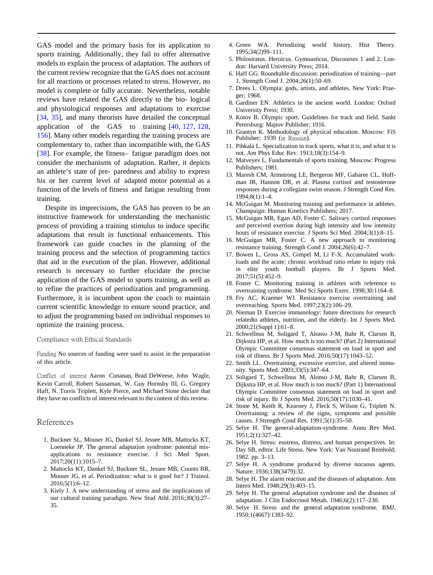<span id="page-8-5"></span><span id="page-8-4"></span><span id="page-8-3"></span><span id="page-8-2"></span>GAS model and the primary basis for its application to sports training. Additionally, they fail to offer alternative models to explain the process of adaptation. The authors of the current review recognize that the GAS does not account for all reactions or processes related to stress. However, no model is complete or fully accurate. Nevertheless, notable reviews have related the GAS directly to the bio- logical and physiological responses and adaptations to exercise [\[34,](#page-9-3) [35\]](#page-9-4), and many theorists have detailed the conceptual application of the GAS to training [\[40,](#page-9-8) [127,](#page-11-5) [128,](#page-11-6) [156\]](#page-11-25). Many other models regarding the training process are complementary to, rather than incompatible with, the GAS [\[38\]](#page-9-6). For example, the fitness– fatigue paradigm does not consider the mechanisms of adaptation. Rather, it depicts an athlete's state of pre- paredness and ability to express his or her current level of adapted motor potential as a function of the levels of fitness and fatigue resulting from training.

<span id="page-8-19"></span><span id="page-8-17"></span><span id="page-8-11"></span>Despite its imprecisions, the GAS has proven to be an instructive framework for understanding the mechanistic process of providing a training stimulus to induce specific adaptations that result in functional enhancements. This framework can guide coaches in the planning of the training process and the selection of programming tactics that aid in the execution of the plan. However, additional research is necessary to further elucidate the precise application of the GAS model to sports training, as well as to refine the practices of periodization and programming. Furthermore, it is incumbent upon the coach to maintain current scientific knowledge to ensure sound practice, and to adjust the programming based on individual responses to optimize the training process.

#### Compliance with Ethical Standards

Funding No sources of funding were used to assist in the preparation of this article.

<span id="page-8-12"></span>Conflict of interest Aaron Cunanan, Brad DeWeese, John Wagle, Kevin Carroll, Robert Sausaman, W. Guy Hornsby III, G. Gregory Haff, N. Travis Triplett, Kyle Pierce, and Michael Stone declare that they have no conflicts of interest relevant to the content of this review.

#### <span id="page-8-0"></span>References

- <span id="page-8-18"></span><span id="page-8-14"></span><span id="page-8-13"></span>1. Buckner SL, Mouser JG, Dankel SJ, Jessee MB, Mattocks KT, Loenneke JP. The general adaptation syndrome: potential misapplications to resistance exercise. J Sci Med Sport. 2017;20(11):1015–7.
- <span id="page-8-15"></span><span id="page-8-1"></span>2. Mattocks KT, Dankel SJ, Buckner SL, Jessee MB, Counts BR, Mouser JG, et al. Periodization: what is it good for? J Trainol.  $2016:5(1):6-12.$
- <span id="page-8-16"></span>3. Kiely J. A new understanding of stress and the implications of our cultural training paradigm. New Stud Athl. 2016;30(3):27– 35.
- 4. Green WA. Periodizing world history. Hist Theory. 1995;34(2)99–111.
- 5. Philostratus. Heroicus. Gymnasticus. Discourses 1 and 2. London: Harvard University Press; 2014.
- 6. Haff GG. Roundtable discussion: periodization of training—part 1. Strength Cond J. 2004;26(1):50–69.
- <span id="page-8-6"></span>7. Drees L. Olympia: gods, artists, and athletes. New York: Praeger; 1968.
- <span id="page-8-7"></span>8. Gardiner EN. Athletics in the ancient world. London: Oxford University Press; 1930.
- 9. Kotov B. Olympic sport. Guidelines for track and field. Sankt Petersburg: Majtov Publisher; 1916.
- <span id="page-8-8"></span>10. Grantyn K. Methodology of physical education. Moscow: FiS Publisher; 1939 (in Russian).
- <span id="page-8-10"></span><span id="page-8-9"></span>11. Pihkala L. Specialization in track sports, what it is, and what it is not. Am Phys Educ Rev. 1913;18(3):154–9.
- 12. Matveyev L. Fundamentals of sports training. Moscow: Progress Publishers; 1981.
- 13. Maresh CM, Armstrong LE, Bergeron MF, Gabaree CL, Hoffman JR, Hannon DR, et al. Plasma cortisol and testosterone responses during a collegiate swim season. J Strength Cond Res. 1994;8(1):1–4.
- 14. McGuigan M. Monitoring training and performance in athletes. Champaign: Human Kinetics Publishers; 2017.
- 15. McGuigan MR, Egan AD, Foster C. Salivary cortisol responses and perceived exertion during high intensity and low intensity bouts of resistance exercise. J Sports Sci Med. 2004;3(1):8–15.
- 16. McGuigan MR, Foster C. A new approach to monitoring resistance training. Strength Cond J. 2004;26(6):42–7.
- 17. Bowen L, Gross AS, Gimpel M, Li F-X. Accumulated workloads and the acute: chronic workload ratio relate to injury risk in elite youth football players. Br J Sports Med. 2017;51(5):452–9.
- 18. Foster C. Monitoring training in athletes with reference to overtraining syndrome. Med Sci Sports Exerc. 1998;30:1164–8.
- 19. Fry AC, Kraemer WJ. Resistance exercise overtraining and overreaching. Sports Med. 1997;23(2):106–29.
- 20. Nieman D. Exercise immunology: future directions for research relatedto athletes, nutrition, and the elderly. Int J Sports Med. 2000;21(Suppl 1):61–8.
- 21. Schwellnus M, Soligard T, Alonso J-M, Bahr R, Clarsen B, Dijkstra HP, et al. How much is too much? (Part 2) International Olympic Committee consensus statement on load in sport and risk of illness. Br J Sports Med. 2016;50(17):1043–52.
- 22. Smith LL. Overtraining, excessive exercise, and altered immunity. Sports Med. 2003;33(5):347–64.
- 23. Soligard T, Schwellnus M, Alonso J-M, Bahr R, Clarsen B, Dijkstra HP, et al. How much is too much? (Part 1) International Olympic Committee consensus statement on load in sport and risk of injury. Br J Sports Med. 2016;50(17):1030–41.
- 24. Stone M, Keith R, Kearney J, Fleck S, Wilson G, Triplett N. Overtraining: a review of the signs, symptoms and possible causes. J Strength Cond Res. 1991;5(1):35–50.
- 25. Selye H. The general-adaptation-syndrome. Annu Rev Med. 1951;2(1):327–42.
- 26. Selye H. Stress: eustress, distress, and human perspectives. In: Day SB, editor. Life Stress. New York: Van Nostrand Reinhold; 1982. pp. 3–13.
- 27. Selye H. A syndrome produced by diverse nocuous agents. Nature. 1936;138(3479):32.
- 28. Selye H. The alarm reaction and the diseases of adaptation. Ann Intern Med. 1948;29(3):403–15.
- 29. Selye H. The general adaptation syndrome and the diseases of adaptation. J Clin Endocrinol Metab. 1946;6(2):117–230.
- 30. Selye H. Stress and the general adaptation syndrome. BMJ. 1950;1(4667):1383–92.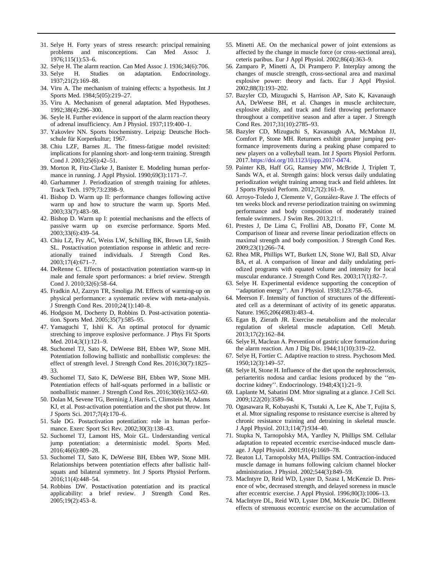- <span id="page-9-1"></span><span id="page-9-0"></span>31. Selye H. Forty years of stress research: principal remaining problems and misconceptions. Can Med Assoc J. 1976;115(1):53–6.
- <span id="page-9-19"></span>32. Selye H. The alarm reaction. Can Med Assoc J. 1936;34(6):706.
- <span id="page-9-27"></span><span id="page-9-3"></span>33. Selye H. Studies on adaptation. Endocrinology. 1937;21(2):169–88.
- <span id="page-9-4"></span>34. Viru A. The mechanism of training effects: a hypothesis. Int J Sports Med. 1984;5(05):219–27.
- <span id="page-9-2"></span>35. Viru A. Mechanism of general adaptation. Med Hypotheses. 1992;38(4):296–300.
- <span id="page-9-5"></span>36. Seyle H. Further evidence in support of the alarm reaction theory of adrenal insufficiency. Am J Physiol. 1937;119:400–1.
- <span id="page-9-6"></span>37. Yakovlev NN. Sports biochemistry. Leipzig: Deutsche Hochschule für Korperkultur; 1967.
- <span id="page-9-7"></span>38. Chiu LZF, Barnes JL. The fitness-fatigue model revisited: implications for planning short- and long-term training. Strength Cond J. 2003;25(6):42–51.
- <span id="page-9-8"></span>39. Morton R, Fitz-Clarke J, Banister E. Modeling human performance in running. J Appl Physiol. 1990;69(3):1171–7.
- <span id="page-9-9"></span>40. Garhammer J. Periodization of strength training for athletes. Track Tech. 1979;73:2398–9.
- 41. Bishop D. Warm up II: performance changes following active warm up and how to structure the warm up. Sports Med. 2003;33(7):483–98.
- 42. Bishop D. Warm up I: potential mechanisms and the effects of passive warm up on exercise performance. Sports Med. 2003;33(6):439–54.
- <span id="page-9-17"></span>43. Chiu LZ, Fry AC, Weiss LW, Schilling BK, Brown LE, Smith SL. Postactivation potentiation response in athletic and recreationally trained individuals. J Strength Cond Res. 2003;17(4):671–7.
- <span id="page-9-18"></span>44. DeRenne C. Effects of postactivation potentiation warm-up in male and female sport performances: a brief review. Strength Cond J. 2010;32(6):58–64.
- <span id="page-9-20"></span>45. Fradkin AJ, Zazryn TR, Smoliga JM. Effects of warming-up on physical performance: a systematic review with meta-analysis. J Strength Cond Res. 2010;24(1):140–8.
- <span id="page-9-21"></span>46. Hodgson M, Docherty D, Robbins D. Post-activation potentiation. Sports Med. 2005;35(7):585–95.
- <span id="page-9-22"></span><span id="page-9-11"></span>47. Yamaguchi T, Ishii K. An optimal protocol for dynamic stretching to improve explosive performance. J Phys Fit Sports Med. 2014;3(1):121–9.
- <span id="page-9-26"></span><span id="page-9-23"></span><span id="page-9-12"></span>48. Suchomel TJ, Sato K, DeWeese BH, Ebben WP, Stone MH. Potentiation following ballistic and nonballistic complexes: the effect of strength level. J Strength Cond Res. 2016;30(7):1825– 33.
- <span id="page-9-24"></span><span id="page-9-10"></span>49. Suchomel TJ, Sato K, DeWeese BH, Ebben WP, Stone MH. Potentiation effects of half-squats performed in a ballistic or nonballistic manner. J Strength Cond Res. 2016;30(6):1652–60.
- <span id="page-9-13"></span>50. Dolan M, Sevene TG, Berninig J, Harris C, Climstein M, Adams KJ, et al. Post-activation potentiation and the shot put throw. Int J Sports Sci. 2017;7(4):170–6.
- <span id="page-9-14"></span>51. Sale DG. Postactivation potentiation: role in human performance. Exerc Sport Sci Rev. 2002;30(3):138–43.
- <span id="page-9-16"></span>52. Suchomel TJ, Lamont HS, Moir GL. Understanding vertical jump potentiation: a deterministic model. Sports Med. 2016;46(6):809–28.
- <span id="page-9-15"></span>53. Suchomel TJ, Sato K, DeWeese BH, Ebben WP, Stone MH. Relationships between potentiation effects after ballistic halfsquats and bilateral symmetry. Int J Sports Physiol Perform. 2016;11(4):448–54.
- <span id="page-9-25"></span>54. Robbins DW. Postactivation potentiation and its practical applicability: a brief review. J Strength Cond Res. 2005;19(2):453–8.
- 55. Minetti AE. On the mechanical power of joint extensions as affected by the change in muscle force (or cross-sectional area), ceteris paribus. Eur J Appl Physiol. 2002;86(4):363–9.
- 56. Zamparo P, Minetti A, Di Prampero P. Interplay among the changes of muscle strength, cross-sectional area and maximal explosive power: theory and facts. Eur J Appl Physiol. 2002;88(3):193–202.
- 57. Bazyler CD, Mizuguchi S, Harrison AP, Sato K, Kavanaugh AA, DeWeese BH, et al. Changes in muscle architecture, explosive ability, and track and field throwing performance throughout a competitive season and after a taper. J Strength Cond Res. 2017;31(10):2785–93.
- 58. Bazyler CD, Mizuguchi S, Kavanaugh AA, McMahon JJ, Comfort P, Stone MH. Returners exhibit greater jumping performance improvements during a peaking phase compared to new players on a volleyball team. Int J Sports Physiol Perform. 2017. [https://doi.org/10.1123/ijspp.2017-0474.](http://dx.doi.org/10.1123/ijspp.2017-0474)
- 59. Painter KB, Haff GG, Ramsey MW, McBride J, Triplett T, Sands WA, et al. Strength gains: block versus daily undulating periodization weight training among track and field athletes. Int J Sports Physiol Perform. 2012;7(2):161–9.
- 60. Arroyo-Toledo J, Clemente V, Gonza´lez-Rave J. The effects of ten weeks block and reverse periodization training on swimming performance and body composition of moderately trained female swimmers. J Swim Res. 2013;21:1.
- 61. Prestes J, De Lima C, Frollini AB, Donatto FF, Conte M. Comparison of linear and reverse linear periodization effects on maximal strength and body composition. J Strength Cond Res. 2009;23(1):266–74.
- 62. Rhea MR, Phillips WT, Burkett LN, Stone WJ, Ball SD, Alvar BA, et al. A comparison of linear and daily undulating periodized programs with equated volume and intensity for local muscular endurance. J Strength Cond Res. 2003;17(1):82–7.
- 63. Selye H. Experimental evidence supporting the conception of ''adaptation energy''. Am J Physiol. 1938;123:758–65.
- 64. Meerson F. Intensity of function of structures of the differentiated cell as a determinant of activity of its genetic apparatus. Nature. 1965;206(4983):483–4.
- 65. Egan B, Zierath JR. Exercise metabolism and the molecular regulation of skeletal muscle adaptation. Cell Metab. 2013;17(2):162–84.
- 66. Selye H, Maclean A. Prevention of gastric ulcer formation during the alarm reaction. Am J Dig Dis. 1944;11(10):319–22.
- 67. Selye H, Fortier C. Adaptive reaction to stress. Psychosom Med. 1950;12(3):149–57.
- 68. Selye H, Stone H. Influence of the diet upon the nephrosclerosis, periarteritis nodosa and cardiac lesions produced by the ''endocrine kidney''. Endocrinology. 1948;43(1):21–9.
- 69. Laplante M, Sabatini DM. Mtor signaling at a glance. J Cell Sci. 2009;122(20):3589–94.
- 70. Ogasawara R, Kobayashi K, Tsutaki A, Lee K, Abe T, Fujita S, et al. Mtor signaling response to resistance exercise is altered by chronic resistance training and detraining in skeletal muscle. J Appl Physiol. 2013;114(7):934–40.
- 71. Stupka N, Tarnopolsky MA, Yardley N, Phillips SM. Cellular adaptation to repeated eccentric exercise-induced muscle damage. J Appl Physiol. 2001;91(4):1669–78.
- 72. Beaton LJ, Tarnopolsky MA, Phillips SM. Contraction-induced muscle damage in humans following calcium channel blocker administration. J Physiol. 2002;544(3):849–59.
- 73. MacIntyre D, Reid WD, Lyster D, Szasz I, McKenzie D. Presence of wbc, decreased strength, and delayed soreness in muscle after eccentric exercise. J Appl Physiol. 1996;80(3):1006–13.
- 74. MacIntyre DL, Reid WD, Lyster DM, McKenzie DC. Different effects of strenuous eccentric exercise on the accumulation of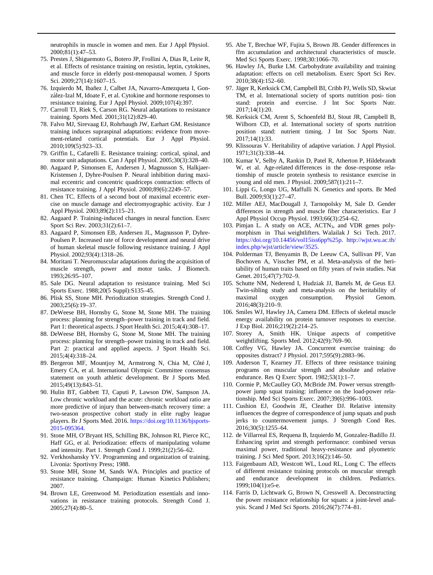<span id="page-10-1"></span>neutrophils in muscle in women and men. Eur J Appl Physiol. 2000;81(1):47–53.

- <span id="page-10-2"></span>75. Prestes J, Shiguemoto G, Botero JP, Frollini A, Dias R, Leite R, et al. Effects of resistance training on resistin, leptin, cytokines, and muscle force in elderly post-menopausal women. J Sports Sci. 2009;27(14):1607-15.
- <span id="page-10-3"></span>76. Izquierdo M, Ibañez J, Calbet JA, Navarro-Amezqueta I, González-Izal M, Idoate F, et al. Cytokine and hormone responses to resistance training. Eur J Appl Physiol. 2009;107(4):397.
- 77. Carroll TJ, Riek S, Carson RG. Neural adaptations to resistance training. Sports Med. 2001;31(12):829–40.
- 78. Falvo MJ, Sirevaag EJ, Rohrbaugh JW, Earhart GM. Resistance training induces supraspinal adaptations: evidence from movement-related cortical potentials. Eur J Appl Physiol. 2010;109(5):923–33.
- <span id="page-10-5"></span>79. Griffin L, Cafarelli E. Resistance training: cortical, spinal, and motor unit adaptations. Can J Appl Physiol. 2005;30(3):328–40.
- <span id="page-10-4"></span>80. Aagaard P, Simonsen E, Andersen J, Magnusson S, Halkjaer-Kristensen J, Dyhre-Poulsen P. Neural inhibition during maximal eccentric and concentric quadriceps contraction: effects of resistance training. J Appl Physiol. 2000;89(6):2249–57.
- <span id="page-10-6"></span>81. Chen TC. Effects of a second bout of maximal eccentric exercise on muscle damage and electromyographic activity. Eur J Appl Physiol. 2003;89(2):115–21.
- 82. Aagaard P. Training-induced changes in neural function. Exerc Sport Sci Rev. 2003;31(2):61–7.
- 83. Aagaard P, Simonsen EB, Andersen JL, Magnusson P, Dyhre-Poulsen P. Increased rate of force development and neural drive of human skeletal muscle following resistance training. J Appl Physiol. 2002;93(4):1318–26.
- 84. Moritani T. Neuromuscular adaptations during the acquisition of muscle strength, power and motor tasks. J Biomech. 1993;26:95–107.
- <span id="page-10-7"></span>85. Sale DG. Neural adaptation to resistance training. Med Sci Sports Exerc. 1988;20(5 Suppl):S135–45.
- <span id="page-10-8"></span>86. Plisk SS, Stone MH. Periodization strategies. Strength Cond J. 2003;25(6):19–37.
- <span id="page-10-9"></span>87. DeWeese BH, Hornsby G, Stone M, Stone MH. The training process: planning for strength–power training in track and field. Part 1: theoretical aspects. J Sport Health Sci. 2015;4(4):308–17.
- <span id="page-10-15"></span><span id="page-10-10"></span>88. DeWeese BH, Hornsby G, Stone M, Stone MH. The training process: planning for strength–power training in track and field. Part 2: practical and applied aspects. J Sport Health Sci. 2015;4(4):318–24.
- <span id="page-10-11"></span>89. Bergeron MF, Mountjoy M, Armstrong N, Chia M, Côté J, Emery CA, et al. International Olympic Committee consensus statement on youth athletic development. Br J Sports Med. 2015;49(13):843–51.
- 90. Hulin BT, Gabbett TJ, Caputi P, Lawson DW, Sampson JA. Low chronic workload and the acute: chronic workload ratio are more predictive of injury than between-match recovery time: a two-season prospective cohort study in elite rugby league players. Br J Sports Med. 2016. [https://doi.org/10.1136/bjsports-](http://dx.doi.org/10.1136/bjsports-2015-095364)[2015-095364.](http://dx.doi.org/10.1136/bjsports-2015-095364)
- <span id="page-10-13"></span><span id="page-10-12"></span>91. Stone MH, O'Bryant HS, Schilling BK, Johnson RI, Pierce KC, Haff GG, et al. Periodization: effects of manipulating volume and intensity. Part 1. Strength Cond J. 1999;21(2):56–62.
- <span id="page-10-0"></span>92. Verkhoshansky YV. Programming and organization of training. Livonia: Sportivny Press; 1988.
- <span id="page-10-14"></span>93. Stone MH, Stone M, Sands WA. Principles and practice of resistance training. Champaign: Human Kinetics Publishers; 2007.
- 94. Brown LE, Greenwood M. Periodization essentials and innovations in resistance training protocols. Strength Cond J. 2005;27(4):80–5.
- 95. Abe T, Brechue WF, Fujita S, Brown JB. Gender differences in ffm accumulation and architectural characteristics of muscle. Med Sci Sports Exerc. 1998;30:1066–70.
- 96. Hawley JA, Burke LM. Carbohydrate availability and training adaptation: effects on cell metabolism. Exerc Sport Sci Rev. 2010;38(4):152–60.
- 97. Jäger R, Kerksick CM, Campbell BI, Cribb PJ, Wells SD, Skwiat TM, et al. International society of sports nutrition posi- tion stand: protein and exercise. J Int Soc Sports Nutr. 2017;14(1):20.
- 98. Kerksick CM, Arent S, Schoenfeld BJ, Stout JR, Campbell B, Wilborn CD, et al. International society of sports nutrition position stand: nutrient timing. J Int Soc Sports Nutr. 2017;14(1):33.
- 99. Klissouras V. Heritability of adaptive variation. J Appl Physiol. 1971;31(3):338–44.
- 100. Kumar V, Selby A, Rankin D, Patel R, Atherton P, Hildebrandt W, et al. Age-related differences in the dose–response relationship of muscle protein synthesis to resistance exercise in young and old men. J Physiol. 2009;587(1):211–7.
- 101. Lippi G, Longo UG, Maffulli N. Genetics and sports. Br Med Bull. 2009;93(1):27–47.
- 102. Miller AEJ, MacDougall J, Tarnopolsky M, Sale D. Gender differences in strength and muscle fiber characteristics. Eur J Appl Physiol Occup Physiol. 1993;66(3):254–62.
- 103. Pimjan L. A study on ACE, ACTN<sub>3</sub>, and VDR genes polymorphism in Thai weightlifters. Walailak J Sci Tech. 2017. [https://doi.org/10.14456/vol15iss6pp%25p.](http://dx.doi.org/10.14456/vol15iss6pp%25p) [http://wjst.wu.ac.th/](http://wjst.wu.ac.th/index.php/wjst/article/view/3525) [index.php/wjst/article/view/3525.](http://wjst.wu.ac.th/index.php/wjst/article/view/3525)
- 104. Polderman TJ, Benyamin B, De Leeuw CA, Sullivan PF, Van Bochoven A, Visscher PM, et al. Meta-analysis of the heritability of human traits based on fifty years of twin studies. Nat Genet. 2015;47(7):702-9.
- 105. Schutte NM, Nederend I, Hudziak JJ, Bartels M, de Geus EJ. Twin-sibling study and meta-analysis on the heritability of maximal oxygen consumption. Physiol Genom. 2016;48(3):210–9.
- 106. Smiles WJ, Hawley JA, Camera DM. Effects of skeletal muscle energy availability on protein turnover responses to exercise. J Exp Biol. 2016;219(2):214–25.
- 107. Storey A, Smith HK. Unique aspects of competitive weightlifting. Sports Med. 2012;42(9):769–90.
- 108. Coffey VG, Hawley JA. Concurrent exercise training: do opposites distract? J Physiol. 2017;595(9):2883–96.
- 109. Anderson T, Kearney JT. Effects of three resistance training programs on muscular strength and absolute and relative endurance. Res Q Exerc Sport. 1982;53(1):1–7.
- 110. Cormie P, McCaulley GO, McBride JM. Power versus strengthpower jump squat training: influence on the load-power relationship. Med Sci Sports Exerc. 2007;39(6):996–1003.
- 111. Cushion EJ, Goodwin JE, Cleather DJ. Relative intensity influences the degree of correspondence of jump squats and push jerks to countermovement jumps. J Strength Cond Res. 2016;30(5):1255–64.
- 112. de Villarreal ES, Requena B, Izquierdo M, Gonzalez-Badillo JJ. Enhancing sprint and strength performance: combined versus maximal power, traditional heavy-resistance and plyometric training. J Sci Med Sport. 2013;16(2):146–50.
- 113. Faigenbaum AD, Westcott WL, Loud RL, Long C. The effects of different resistance training protocols on muscular strength and endurance development in children. Pediatrics. 1999;104(1):e5-e.
- 114. Farris D, Lichtwark G, Brown N, Cresswell A. Deconstructing the power resistance relationship for squats: a joint-level analysis. Scand J Med Sci Sports. 2016;26(7):774–81.